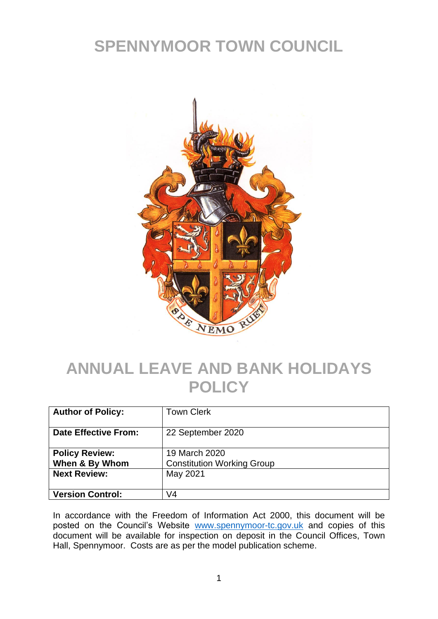## **SPENNYMOOR TOWN COUNCIL**



## **ANNUAL LEAVE AND BANK HOLIDAYS POLICY**

| <b>Author of Policy:</b>                | <b>Town Clerk</b>                                  |
|-----------------------------------------|----------------------------------------------------|
| <b>Date Effective From:</b>             | 22 September 2020                                  |
| <b>Policy Review:</b><br>When & By Whom | 19 March 2020<br><b>Constitution Working Group</b> |
| <b>Next Review:</b>                     | May 2021                                           |
| <b>Version Control:</b>                 | V4                                                 |

In accordance with the Freedom of Information Act 2000, this document will be posted on the Council's Website [www.spennymoor-tc.gov.uk](http://www.spennymoor-tc.gov.uk/) and copies of this document will be available for inspection on deposit in the Council Offices, Town Hall, Spennymoor. Costs are as per the model publication scheme.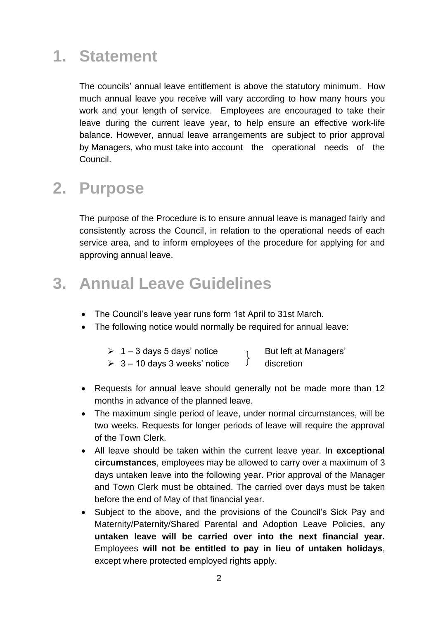## **1. Statement**

The councils' annual leave entitlement is above the statutory minimum. How much annual leave you receive will vary according to how many hours you work and your length of service. Employees are encouraged to take their leave during the current leave year, to help ensure an effective work-life balance. However, annual leave arrangements are subject to prior approval by Managers, who must take into account the operational needs of the Council.

#### **2. Purpose**

The purpose of the Procedure is to ensure annual leave is managed fairly and consistently across the Council, in relation to the operational needs of each service area, and to inform employees of the procedure for applying for and approving annual leave.

#### **3. Annual Leave Guidelines**

- The Council's leave year runs form 1st April to 31st March.
- The following notice would normally be required for annual leave:

| 1 – 3 days 5 days' notice | But left at Managers' |
|---------------------------|-----------------------|
|---------------------------|-----------------------|

- $\triangleright$  3 10 days 3 weeks' notice  $\bigcup$  discretion
- Requests for annual leave should generally not be made more than 12 months in advance of the planned leave.
- The maximum single period of leave, under normal circumstances, will be two weeks. Requests for longer periods of leave will require the approval of the Town Clerk.
- All leave should be taken within the current leave year. In **exceptional circumstances**, employees may be allowed to carry over a maximum of 3 days untaken leave into the following year. Prior approval of the Manager and Town Clerk must be obtained. The carried over days must be taken before the end of May of that financial year.
- Subject to the above, and the provisions of the Council's Sick Pay and Maternity/Paternity/Shared Parental and Adoption Leave Policies, any **untaken leave will be carried over into the next financial year.**  Employees **will not be entitled to pay in lieu of untaken holidays**, except where protected employed rights apply.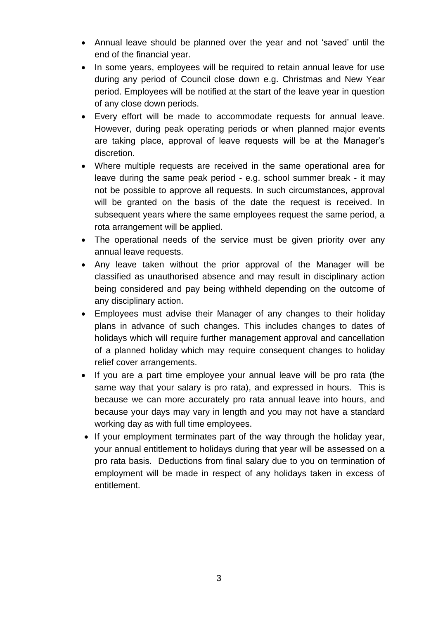- Annual leave should be planned over the year and not 'saved' until the end of the financial year.
- In some years, employees will be required to retain annual leave for use during any period of Council close down e.g. Christmas and New Year period. Employees will be notified at the start of the leave year in question of any close down periods.
- Every effort will be made to accommodate requests for annual leave. However, during peak operating periods or when planned major events are taking place, approval of leave requests will be at the Manager's discretion.
- Where multiple requests are received in the same operational area for leave during the same peak period - e.g. school summer break - it may not be possible to approve all requests. In such circumstances, approval will be granted on the basis of the date the request is received. In subsequent years where the same employees request the same period, a rota arrangement will be applied.
- The operational needs of the service must be given priority over any annual leave requests.
- Any leave taken without the prior approval of the Manager will be classified as unauthorised absence and may result in disciplinary action being considered and pay being withheld depending on the outcome of any disciplinary action.
- Employees must advise their Manager of any changes to their holiday plans in advance of such changes. This includes changes to dates of holidays which will require further management approval and cancellation of a planned holiday which may require consequent changes to holiday relief cover arrangements.
- If you are a part time employee your annual leave will be pro rata (the same way that your salary is pro rata), and expressed in hours. This is because we can more accurately pro rata annual leave into hours, and because your days may vary in length and you may not have a standard working day as with full time employees.
- If your employment terminates part of the way through the holiday year, your annual entitlement to holidays during that year will be assessed on a pro rata basis. Deductions from final salary due to you on termination of employment will be made in respect of any holidays taken in excess of entitlement.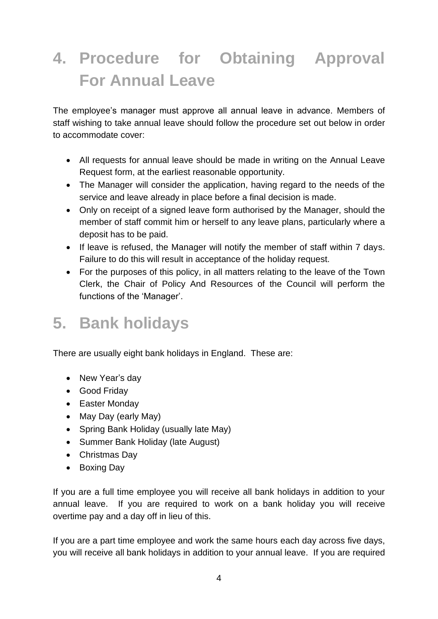# **4. Procedure for Obtaining Approval For Annual Leave**

The employee's manager must approve all annual leave in advance. Members of staff wishing to take annual leave should follow the procedure set out below in order to accommodate cover:

- All requests for annual leave should be made in writing on the Annual Leave Request form, at the earliest reasonable opportunity.
- The Manager will consider the application, having regard to the needs of the service and leave already in place before a final decision is made.
- Only on receipt of a signed leave form authorised by the Manager, should the member of staff commit him or herself to any leave plans, particularly where a deposit has to be paid.
- If leave is refused, the Manager will notify the member of staff within 7 days. Failure to do this will result in acceptance of the holiday request.
- For the purposes of this policy, in all matters relating to the leave of the Town Clerk, the Chair of Policy And Resources of the Council will perform the functions of the 'Manager'.

## **5. Bank holidays**

There are usually eight bank holidays in England. These are:

- New Year's day
- Good Friday
- Easter Monday
- May Day (early May)
- Spring Bank Holiday (usually late May)
- Summer Bank Holiday (late August)
- Christmas Day
- Boxing Day

If you are a full time employee you will receive all bank holidays in addition to your annual leave. If you are required to work on a bank holiday you will receive overtime pay and a day off in lieu of this.

If you are a part time employee and work the same hours each day across five days, you will receive all bank holidays in addition to your annual leave. If you are required